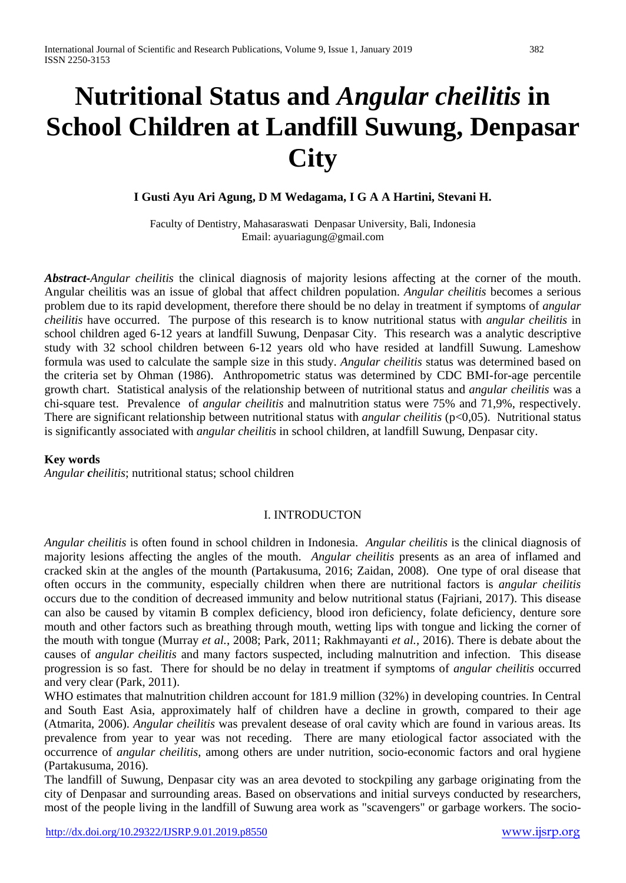# **Nutritional Status and** *Angular cheilitis* **in School Children at Landfill Suwung, Denpasar City**

## **I Gusti Ayu Ari Agung, D M Wedagama, I G A A Hartini, Stevani H.**

Faculty of Dentistry, Mahasaraswati Denpasar University, Bali, Indonesia Email[: ayuariagung@gmail.com](mailto:ayuariagung@gmail.com)

*Abstract-Angular cheilitis* the clinical diagnosis of majority lesions affecting at the corner of the mouth. Angular cheilitis was an issue of global that affect children population. *Angular cheilitis* becomes a serious problem due to its rapid development, therefore there should be no delay in treatment if symptoms of *angular cheilitis* have occurred. The purpose of this research is to know nutritional status with *angular cheilitis* in school children aged 6-12 years at landfill Suwung, Denpasar City. This research was a analytic descriptive study with 32 school children between 6-12 years old who have resided at landfill Suwung. Lameshow formula was used to calculate the sample size in this study. *Angular cheilitis* status was determined based on the criteria set by Ohman (1986). Anthropometric status was determined by CDC BMI-for-age percentile growth chart. Statistical analysis of the relationship between of nutritional status and *angular cheilitis* was a chi-square test. Prevalence of *angular cheilitis* and malnutrition status were 75% and 71,9%, respectively. There are significant relationship between nutritional status with *angular cheilitis* (p<0,05). Nutritional status is significantly associated with *angular cheilitis* in school children, at landfill Suwung, Denpasar city.

### **Key words**

*Angular cheilitis*; nutritional status; school children

### I. INTRODUCTON

*Angular cheilitis* is often found in school children in Indonesia. *Angular cheilitis* is the clinical diagnosis of majority lesions affecting the angles of the mouth. *Angular cheilitis* presents as an area of inflamed and cracked skin at the angles of the mounth (Partakusuma, 2016; Zaidan, 2008). One type of oral disease that often occurs in the community, especially children when there are nutritional factors is *angular cheilitis* occurs due to the condition of decreased immunity and below nutritional status (Fajriani, 2017). This disease can also be caused by vitamin B complex deficiency, blood iron deficiency, folate deficiency, denture sore mouth and other factors such as breathing through mouth, wetting lips with tongue and licking the corner of the mouth with tongue (Murray *et al.*, 2008; Park, 2011; Rakhmayanti *et al.,* 2016). There is debate about the causes of *angular cheilitis* and many factors suspected, including malnutrition and infection. This disease progression is so fast. There for should be no delay in treatment if symptoms of *angular cheilitis* occurred and very clear (Park, 2011).

WHO estimates that malnutrition children account for 181.9 million (32%) in developing countries. In Central and South East Asia, approximately half of children have a decline in growth, compared to their age (Atmarita, 2006). *Angular cheilitis* was prevalent desease of oral cavity which are found in various areas. Its prevalence from year to year was not receding. There are many etiological factor associated with the occurrence of *angular cheilitis*, among others are under nutrition, socio-economic factors and oral hygiene (Partakusuma, 2016).

The landfill of Suwung, Denpasar city was an area devoted to stockpiling any garbage originating from the city of Denpasar and surrounding areas. Based on observations and initial surveys conducted by researchers, most of the people living in the landfill of Suwung area work as "scavengers" or garbage workers. The socio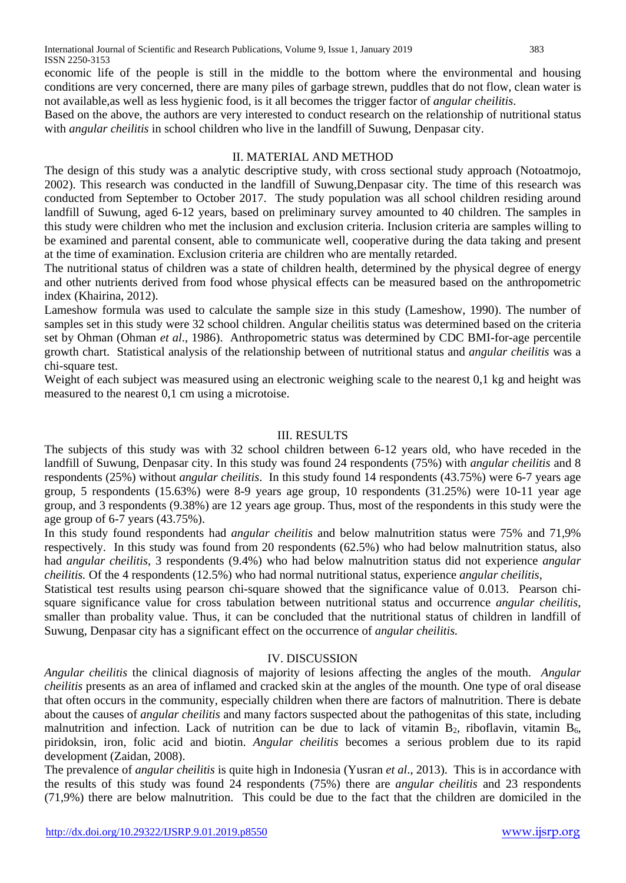economic life of the people is still in the middle to the bottom where the environmental and housing conditions are very concerned, there are many piles of garbage strewn, puddles that do not flow, clean water is not available,as well as less hygienic food, is it all becomes the trigger factor of *angular cheilitis*.

Based on the above, the authors are very interested to conduct research on the relationship of nutritional status with *angular cheilitis* in school children who live in the landfill of Suwung, Denpasar city.

#### II. MATERIAL AND METHOD

The design of this study was a analytic descriptive study, with cross sectional study approach (Notoatmojo, 2002). This research was conducted in the landfill of Suwung,Denpasar city. The time of this research was conducted from September to October 2017. The study population was all school children residing around landfill of Suwung, aged 6-12 years, based on preliminary survey amounted to 40 children. The samples in this study were children who met the inclusion and exclusion criteria. Inclusion criteria are samples willing to be examined and parental consent, able to communicate well, cooperative during the data taking and present at the time of examination. Exclusion criteria are children who are mentally retarded.

The nutritional status of children was a state of children health, determined by the physical degree of energy and other nutrients derived from food whose physical effects can be measured based on the anthropometric index (Khairina, 2012).

Lameshow formula was used to calculate the sample size in this study (Lameshow, 1990). The number of samples set in this study were 32 school children. Angular cheilitis status was determined based on the criteria set by Ohman (Ohman *et al*., 1986). Anthropometric status was determined by CDC BMI-for-age percentile growth chart. Statistical analysis of the relationship between of nutritional status and *angular cheilitis* was a chi-square test.

Weight of each subject was measured using an electronic weighing scale to the nearest 0,1 kg and height was measured to the nearest 0,1 cm using a microtoise.

#### III. RESULTS

The subjects of this study was with 32 school children between 6-12 years old, who have receded in the landfill of Suwung, Denpasar city. In this study was found 24 respondents (75%) with *angular cheilitis* and 8 respondents (25%) without *angular cheilitis*. In this study found 14 respondents (43.75%) were 6-7 years age group, 5 respondents (15.63%) were 8-9 years age group, 10 respondents (31.25%) were 10-11 year age group, and 3 respondents (9.38%) are 12 years age group. Thus, most of the respondents in this study were the age group of 6-7 years (43.75%).

In this study found respondents had *angular cheilitis* and below malnutrition status were 75% and 71,9% respectively. In this study was found from 20 respondents (62.5%) who had below malnutrition status, also had *angular cheilitis*, 3 respondents (9.4%) who had below malnutrition status did not experience *angular cheilitis.* Of the 4 respondents (12.5%) who had normal nutritional status, experience *angular cheilitis*,

Statistical test results using pearson chi-square showed that the significance value of 0.013. Pearson chisquare significance value for cross tabulation between nutritional status and occurrence *angular cheilitis*, smaller than probality value. Thus, it can be concluded that the nutritional status of children in landfill of Suwung, Denpasar city has a significant effect on the occurrence of *angular cheilitis.*

#### IV. DISCUSSION

*Angular cheilitis* the clinical diagnosis of majority of lesions affecting the angles of the mouth. *Angular cheilitis* presents as an area of inflamed and cracked skin at the angles of the mounth*.* One type of oral disease that often occurs in the community, especially children when there are factors of malnutrition. There is debate about the causes of *angular cheilitis* and many factors suspected about the pathogenitas of this state, including malnutrition and infection. Lack of nutrition can be due to lack of vitamin  $B_2$ , riboflavin, vitamin  $B_6$ , piridoksin, iron, folic acid and biotin. *Angular cheilitis* becomes a serious problem due to its rapid development (Zaidan, 2008).

The prevalence of *angular cheilitis* is quite high in Indonesia (Yusran *et al*., 2013). This is in accordance with the results of this study was found 24 respondents (75%) there are *angular cheilitis* and 23 respondents (71,9%) there are below malnutrition. This could be due to the fact that the children are domiciled in the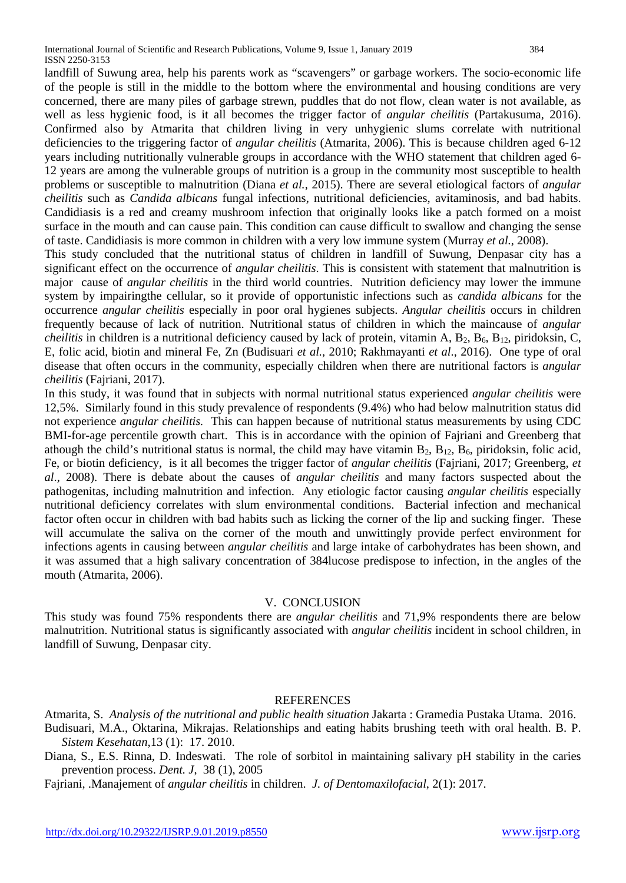landfill of Suwung area, help his parents work as "scavengers" or garbage workers. The socio-economic life of the people is still in the middle to the bottom where the environmental and housing conditions are very concerned, there are many piles of garbage strewn, puddles that do not flow, clean water is not available, as well as less hygienic food, is it all becomes the trigger factor of *angular cheilitis* (Partakusuma, 2016). Confirmed also by Atmarita that children living in very unhygienic slums correlate with nutritional deficiencies to the triggering factor of *angular cheilitis* (Atmarita, 2006). This is because children aged 6-12 years including nutritionally vulnerable groups in accordance with the WHO statement that children aged 6- 12 years are among the vulnerable groups of nutrition is a group in the community most susceptible to health problems or susceptible to malnutrition (Diana *et al.*, 2015). There are several etiological factors of *angular cheilitis* such as *Candida albicans* fungal infections, nutritional deficiencies, avitaminosis, and bad habits. Candidiasis is a red and creamy mushroom infection that originally looks like a patch formed on a moist surface in the mouth and can cause pain. This condition can cause difficult to swallow and changing the sense of taste. Candidiasis is more common in children with a very low immune system (Murray *et al.*, 2008).

This study concluded that the nutritional status of children in landfill of Suwung, Denpasar city has a significant effect on the occurrence of *angular cheilitis*. This is consistent with statement that malnutrition is major cause of *angular cheilitis* in the third world countries. Nutrition deficiency may lower the immune system by impairingthe cellular, so it provide of opportunistic infections such as *candida albicans* for the occurrence *angular cheilitis* especially in poor oral hygienes subjects. *Angular cheilitis* occurs in children frequently because of lack of nutrition. Nutritional status of children in which the maincause of *angular cheilitis* in children is a nutritional deficiency caused by lack of protein, vitamin A,  $B_2$ ,  $B_6$ ,  $B_{12}$ , piridoksin, C, E, folic acid, biotin and mineral Fe, Zn (Budisuari *et al.,* 2010; Rakhmayanti *et al*., 2016). One type of oral disease that often occurs in the community, especially children when there are nutritional factors is *angular cheilitis* (Fajriani, 2017).

In this study, it was found that in subjects with normal nutritional status experienced *angular cheilitis* were 12,5%. Similarly found in this study prevalence of respondents (9.4%) who had below malnutrition status did not experience *angular cheilitis.* This can happen because of nutritional status measurements by using CDC BMI-for-age percentile growth chart. This is in accordance with the opinion of Fajriani and Greenberg that athough the child's nutritional status is normal, the child may have vitamin  $B_2$ ,  $B_{12}$ ,  $B_6$ , piridoksin, folic acid, Fe, or biotin deficiency, is it all becomes the trigger factor of *angular cheilitis* (Fajriani, 2017; Greenberg, *et al*., 2008). There is debate about the causes of *angular cheilitis* and many factors suspected about the pathogenitas, including malnutrition and infection. Any etiologic factor causing *angular cheilitis* especially nutritional deficiency correlates with slum environmental conditions. Bacterial infection and mechanical factor often occur in children with bad habits such as licking the corner of the lip and sucking finger. These will accumulate the saliva on the corner of the mouth and unwittingly provide perfect environment for infections agents in causing between *angular cheilitis* and large intake of carbohydrates has been shown, and it was assumed that a high salivary concentration of 384lucose predispose to infection, in the angles of the mouth (Atmarita, 2006).

#### V. CONCLUSION

This study was found 75% respondents there are *angular cheilitis* and 71,9% respondents there are below malnutrition. Nutritional status is significantly associated with *angular cheilitis* incident in school children, in landfill of Suwung, Denpasar city.

#### **REFERENCES**

Atmarita, S. *Analysis of the nutritional and public health situation* Jakarta : Gramedia Pustaka Utama. 2016. Budisuari, M.A., Oktarina, Mikrajas. Relationships and eating habits brushing teeth with oral health. B. P. *Sistem Kesehatan*,13 (1): 17. 2010.

Diana, S., E.S. Rinna, D. Indeswati. The role of sorbitol in maintaining salivary pH stability in the caries prevention process. *Dent. J*, 38 (1), 2005

Fajriani, .Manajement of *angular cheilitis* in children. *J. of Dentomaxilofacial*, 2(1): 2017.